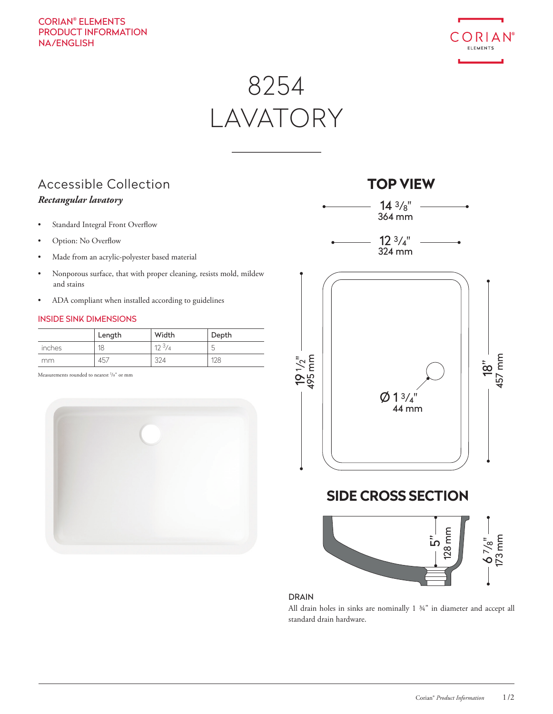#### CORIAN® ELEMENTS PRODUCT INFORMATION NA/ENGLISH



# 8254 LAVATORY

### Accessible Collection *Rectangular lavatory*

- Standard Integral Front Overflow
- Option: No Overflow
- Made from an acrylic-polyester based material
- Nonporous surface, that with proper cleaning, resists mold, mildew and stains
- ADA compliant when installed according to guidelines

#### INSIDE SINK DIMENSIONS

|        | Length | Width           | Depth       |
|--------|--------|-----------------|-------------|
| inches | 18     | $12\frac{3}{4}$ | r<br>$\sim$ |
| mm     | 457    | 324             | 128         |

Measurements rounded to nearest <sup>1</sup>/8" or mm



## **TOP VIEW SIDE CROSS SECTION**  $Ø 1<sup>3</sup>/<sub>4</sub>"$  $14 \frac{3}{8}$ "  $12 \frac{3}{4}$ " 18" 457 mm <u>ام</u> 19 1/<sub>2"</sub><br>495 mm <u>້າ</u>  $6^{7}/8"$ <br>173 mm 364 mm 324 mm 44 mm 128 mm

#### DRAIN

All drain holes in sinks are nominally 1 ¾" in diameter and accept all standard drain hardware.